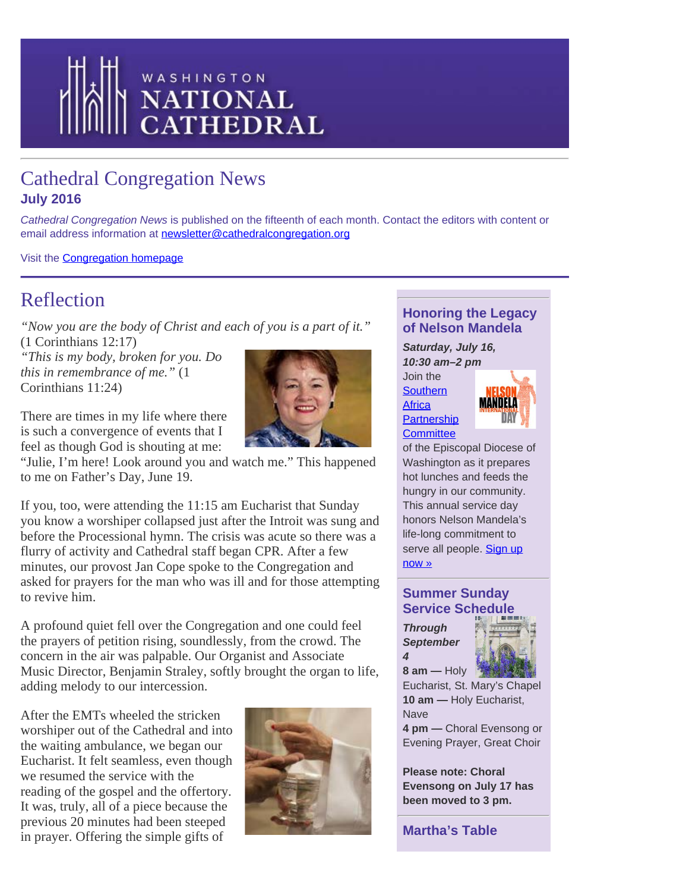<span id="page-0-0"></span>

## Cathedral Congregation News **July 2016**

*Cathedral Congregation News* is published on the fifteenth of each month. Contact the editors with content or email address information at [newsletter@cathedralcongregation.org](mailto:newsletter@cathedralcongregation.org)

Visit the **Congregation homepage** 

## Reflection

*"Now you are the body of Christ and each of you is a part of it."* (1 Corinthians 12:17)

*"This is my body, broken for you. Do this in remembrance of me."* (1 Corinthians 11:24)

There are times in my life where there is such a convergence of events that I feel as though God is shouting at me:

"Julie, I'm here! Look around you and watch me." This happened to me on Father's Day, June 19.

If you, too, were attending the 11:15 am Eucharist that Sunday you know a worshiper collapsed just after the Introit was sung and before the Processional hymn. The crisis was acute so there was a flurry of activity and Cathedral staff began CPR. After a few minutes, our provost Jan Cope spoke to the Congregation and asked for prayers for the man who was ill and for those attempting to revive him.

A profound quiet fell over the Congregation and one could feel the prayers of petition rising, soundlessly, from the crowd. The concern in the air was palpable. Our Organist and Associate Music Director, Benjamin Straley, softly brought the organ to life, adding melody to our intercession.

After the EMTs wheeled the stricken worshiper out of the Cathedral and into the waiting ambulance, we began our Eucharist. It felt seamless, even though we resumed the service with the reading of the gospel and the offertory. It was, truly, all of a piece because the previous 20 minutes had been steeped in prayer. Offering the simple gifts of



## **Honoring the Legacy of Nelson Mandela**

*Saturday, July 16, 10:30 am–2 pm* Join the

**[Southern](http://www.edow.org/sapc) [Africa](http://www.edow.org/sapc) [Partnership](http://www.edow.org/sapc) [Committee](http://www.edow.org/sapc)** 



of the Episcopal Diocese of Washington as it prepares hot lunches and feeds the hungry in our community. This annual service day honors Nelson Mandela's life-long commitment to serve all people. [Sign up](https://docs.google.com/forms/d/1kmjn4qUV3zPHoejr1BX_F65b36Fn4sCgDQSOXQJfKQs/viewform?c=0&w=1) [now](https://docs.google.com/forms/d/1kmjn4qUV3zPHoejr1BX_F65b36Fn4sCgDQSOXQJfKQs/viewform?c=0&w=1) »

## **Summer Sunday Service Schedule**

*Through September 4*



**8 am —** Holy Eucharist, St. Mary's Chapel **10 am —** Holy Eucharist, **Nave** 

**4 pm —** Choral Evensong or Evening Prayer, Great Choir

**Please note: Choral Evensong on July 17 has been moved to 3 pm.**

**Martha's Table**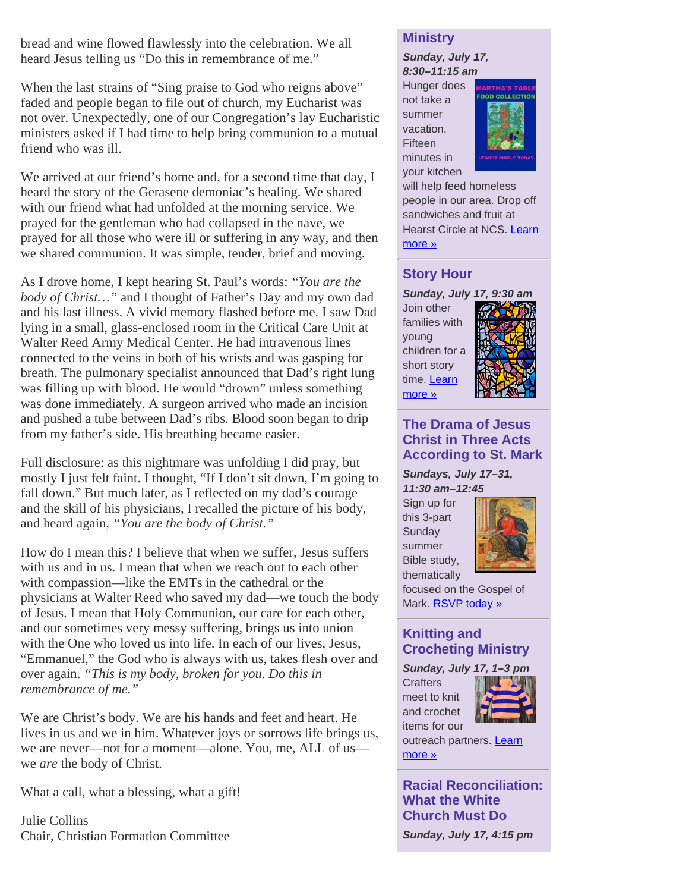bread and wine flowed flawlessly into the celebration. We all heard Jesus telling us "Do this in remembrance of me."

When the last strains of "Sing praise to God who reigns above" faded and people began to file out of church, my Eucharist was not over. Unexpectedly, one of our Congregation's lay Eucharistic ministers asked if I had time to help bring communion to a mutual friend who was ill.

We arrived at our friend's home and, for a second time that day, I heard the story of the Gerasene demoniac's healing. We shared with our friend what had unfolded at the morning service. We prayed for the gentleman who had collapsed in the nave, we prayed for all those who were ill or suffering in any way, and then we shared communion. It was simple, tender, brief and moving.

As I drove home, I kept hearing St. Paul's words: *"You are the body of Christ…"* and I thought of Father's Day and my own dad and his last illness. A vivid memory flashed before me. I saw Dad lying in a small, glass-enclosed room in the Critical Care Unit at Walter Reed Army Medical Center. He had intravenous lines connected to the veins in both of his wrists and was gasping for breath. The pulmonary specialist announced that Dad's right lung was filling up with blood. He would "drown" unless something was done immediately. A surgeon arrived who made an incision and pushed a tube between Dad's ribs. Blood soon began to drip from my father's side. His breathing became easier.

Full disclosure: as this nightmare was unfolding I did pray, but mostly I just felt faint. I thought, "If I don't sit down, I'm going to fall down." But much later, as I reflected on my dad's courage and the skill of his physicians, I recalled the picture of his body, and heard again, *"You are the body of Christ."*

How do I mean this? I believe that when we suffer, Jesus suffers with us and in us. I mean that when we reach out to each other with compassion—like the EMTs in the cathedral or the physicians at Walter Reed who saved my dad—we touch the body of Jesus. I mean that Holy Communion, our care for each other, and our sometimes very messy suffering, brings us into union with the One who loved us into life. In each of our lives, Jesus, "Emmanuel," the God who is always with us, takes flesh over and over again. *"This is my body, broken for you. Do this in remembrance of me."*

We are Christ's body. We are his hands and feet and heart. He lives in us and we in him. Whatever joys or sorrows life brings us, we are never—not for a moment—alone. You, me, ALL of us we *are* the body of Christ.

What a call, what a blessing, what a gift!

Julie Collins Chair, Christian Formation Committee

## **Ministry**

*Sunday, July 17, 8:30–11:15 am*

Hunger does not take a summer vacation. **Fifteen** minutes in your kitchen



will help feed homeless people in our area. Drop off sandwiches and fruit at Hearst Circle at NCS. [Learn](http://cathedral.org/event/marthas-table-ministry-2/2016-07-17) [more](http://cathedral.org/event/marthas-table-ministry-2/2016-07-17) »

## **Story Hour**

*Sunday, July 17, 9:30 am* Join other families with young children for a short story time. **Learn** [more](http://cathedral.org/event/story-hour-2016-07-17/) »



## **The Drama of Jesus Christ in Three Acts According to St. Mark**

*Sundays, July 17–31, 11:30 am–12:45*

Sign up for this 3-part **Sunday** summer Bible study, thematically



focused on the Gospel of Mark. **RSVP today »** 

## **Knitting and Crocheting Ministry**

*Sunday, July 17, 1–3 pm* **Crafters** meet to knit and crochet items for our



outreach partners. **[Learn](http://cathedral.org/event/knitting-and-crocheting-ministry-2016-07-17/)** [more](http://cathedral.org/event/knitting-and-crocheting-ministry-2016-07-17/) »

**Racial Reconciliation: What the White Church Must Do** *Sunday, July 17, 4:15 pm*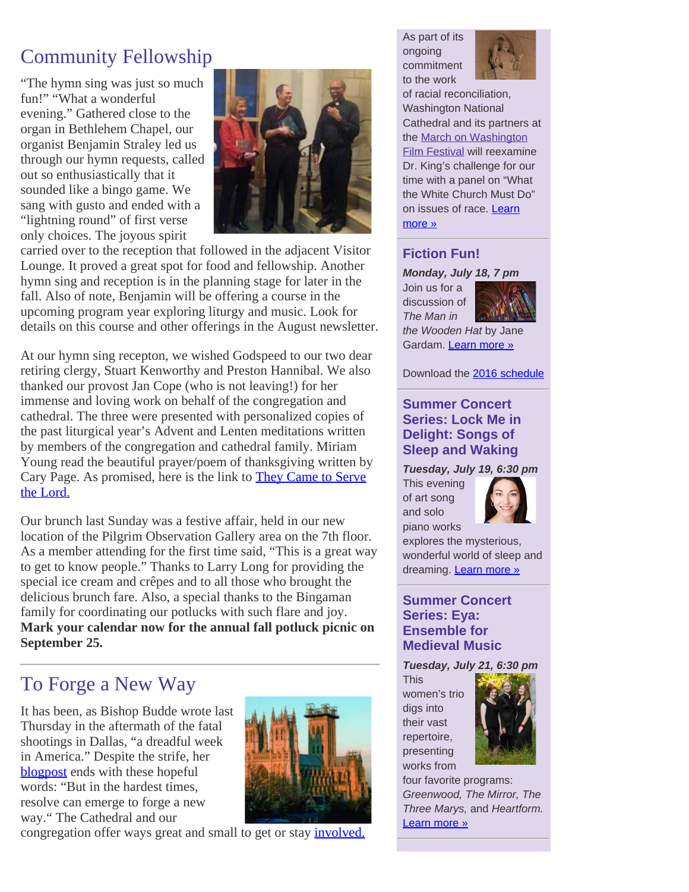# Community Fellowship

"The hymn sing was just so much fun!" "What a wonderful evening." Gathered close to the organ in Bethlehem Chapel, our organist Benjamin Straley led us through our hymn requests, called out so enthusiastically that it sounded like a bingo game. We sang with gusto and ended with a "lightning round" of first verse only choices. The joyous spirit



carried over to the reception that followed in the adjacent Visitor Lounge. It proved a great spot for food and fellowship. Another hymn sing and reception is in the planning stage for later in the fall. Also of note, Benjamin will be offering a course in the upcoming program year exploring liturgy and music. Look for details on this course and other offerings in the August newsletter.

At our hymn sing recepton, we wished Godspeed to our two dear retiring clergy, Stuart Kenworthy and Preston Hannibal. We also thanked our provost Jan Cope (who is not leaving!) for her immense and loving work on behalf of the congregation and cathedral. The three were presented with personalized copies of the past liturgical year's Advent and Lenten meditations written by members of the congregation and cathedral family. Miriam Young read the beautiful prayer/poem of thanksgiving written by Cary Page. As promised, here is the link to [They Came to Serve](http://cathedral.org/wp-content/uploads/2016/07/TheyCameToServeTheLord.pdf) [the Lord.](http://cathedral.org/wp-content/uploads/2016/07/TheyCameToServeTheLord.pdf)

Our brunch last Sunday was a festive affair, held in our new location of the Pilgrim Observation Gallery area on the 7th floor. As a member attending for the first time said, "This is a great way to get to know people." Thanks to Larry Long for providing the special ice cream and crêpes and to all those who brought the delicious brunch fare. Also, a special thanks to the Bingaman family for coordinating our potlucks with such flare and joy. **Mark your calendar now for the annual fall potluck picnic on September 25.**

# To Forge a New Way

It has been, as Bishop Budde wrote last Thursday in the aftermath of the fatal shootings in Dallas, "a dreadful week in America." Despite the strife, her [blogpost](http://www.edow.org/blog/a-dreadful-week-in-america) ends with these hopeful words: "But in the hardest times, resolve can emerge to forge a new way." The Cathedral and our



congregation offer ways great and small to get or stay *involved*.

As part of its ongoing commitment to the work



of racial reconciliation, Washington National Cathedral and its partners at the [March on Washington](http://marchonwashingtonfilmfestival.org/) [Film Festival](http://marchonwashingtonfilmfestival.org/) will reexamine Dr. King's challenge for our time with a panel on "What the White Church Must Do" on issues of race. **Learn** [more](http://cathedral.org/event/racial-reconciliation-what-the-white-church-must-do) »

## **Fiction Fun!**

### *Monday, July 18, 7 pm*

Join us for a discussion of *The Man in*



*the Wooden Hat* by Jane Gardam. [Learn more](http://cathedral.org/event/fiction-fun-2016-07-18) »

Download the [2016 schedule](http://cathedral.org/wp-content/uploads/2016/05/FictionFun2016.pdf)

## **Summer Concert Series: Lock Me in Delight: Songs of Sleep and Waking**

#### *Tuesday, July 19, 6:30 pm*

This evening of art song and solo piano works



explores the mysterious, wonderful world of sleep and dreaming. **[Learn more](http://cathedral.org/event/summer-concert-series-lauren-cook-clarinet-and-sam-post-piano-2016-07-19/) »** 

## **Summer Concert Series: Eya: Ensemble for Medieval Music**

*Tuesday, July 21, 6:30 pm*

**This** women's trio digs into their vast repertoire, presenting works from



four favorite programs: *Greenwood, The Mirror, The Three Marys,* and *Heartform.* [Learn more](http://cathedral.org/event/summer-concert-series-lauren-cook-clarinet-and-sam-post-piano-2016-07-21/) »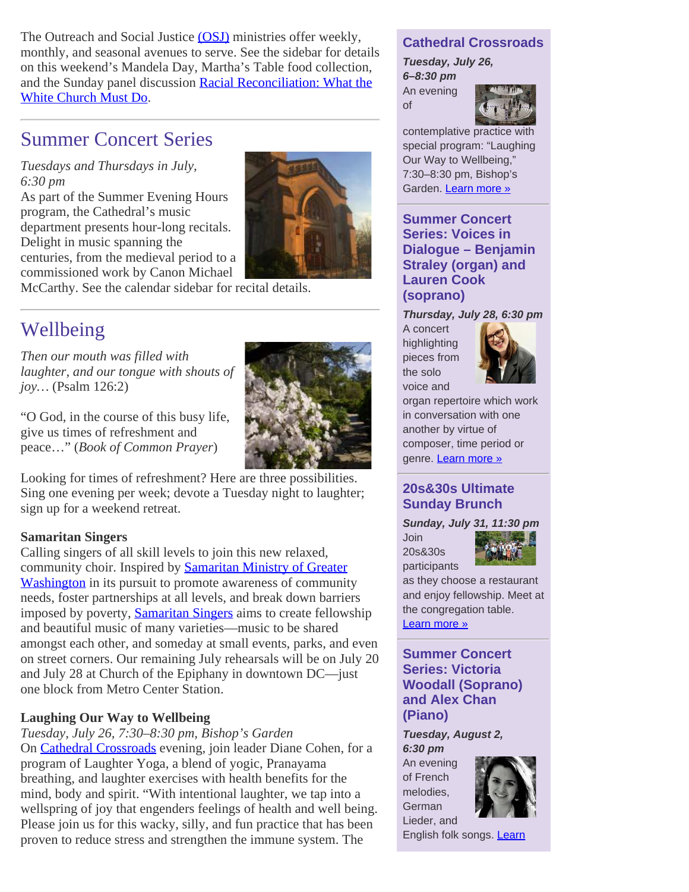The Outreach and Social Justice [\(OSJ\)](http://cathedral.org/congregation/outreach-social-justice) ministries offer weekly, monthly, and seasonal avenues to serve. See the sidebar for details on this weekend's Mandela Day, Martha's Table food collection, and the Sunday panel discussion [Racial Reconciliation: What the](http://cathedral.org/event/racial-reconciliation-what-the-white-church-must-do) [White Church Must Do](http://cathedral.org/event/racial-reconciliation-what-the-white-church-must-do).

## Summer Concert Series

*Tuesdays and Thursdays in July, 6:30 pm*

As part of the Summer Evening Hours program, the Cathedral's music department presents hour-long recitals. Delight in music spanning the centuries, from the medieval period to a commissioned work by Canon Michael



McCarthy. See the calendar sidebar for recital details.

## Wellbeing

*Then our mouth was filled with laughter, and our tongue with shouts of joy…* (Psalm 126:2)

"O God, in the course of this busy life, give us times of refreshment and peace…" (*Book of Common Prayer*)

Looking for times of refreshment? Here are three possibilities. Sing one evening per week; devote a Tuesday night to laughter; sign up for a weekend retreat.

#### **Samaritan Singers**

Calling singers of all skill levels to join this new relaxed, community choir. Inspired by **[Samaritan Ministry of Greater](http://www.samaritanministry.org/)** [Washington](http://www.samaritanministry.org/) in its pursuit to promote awareness of community needs, foster partnerships at all levels, and break down barriers imposed by poverty, **[Samaritan Singers](http://www.samaritansingersdc.org/)** aims to create fellowship and beautiful music of many varieties—music to be shared amongst each other, and someday at small events, parks, and even on street corners. Our remaining July rehearsals will be on July 20 and July 28 at Church of the Epiphany in downtown DC—just one block from Metro Center Station.

#### **Laughing Our Way to Wellbeing**

*Tuesday, July 26, 7:30–8:30 pm, Bishop's Garden* On **Cathedral Crossroads** evening, join leader Diane Cohen, for a program of Laughter Yoga, a blend of yogic, Pranayama breathing, and laughter exercises with health benefits for the mind, body and spirit. "With intentional laughter, we tap into a wellspring of joy that engenders feelings of health and well being. Please join us for this wacky, silly, and fun practice that has been proven to reduce stress and strengthen the immune system. The

### **Cathedral Crossroads**

*Tuesday, July 26, 6–8:30 pm* An evening of



contemplative practice with special program: "Laughing Our Way to Wellbeing," 7:30–8:30 pm, Bishop's Garden. [Learn more](http://cathedral.org/event/cathedral-crossroads-resurrections-summer-wonder-walk-bishops-garden-2016-07-26/) »

**Summer Concert Series: Voices in Dialogue – Benjamin Straley (organ) and Lauren Cook (soprano)**

*Thursday, July 28, 6:30 pm*

A concert highlighting pieces from the solo voice and



organ repertoire which work in conversation with one another by virtue of composer, time period or genre. [Learn more](http://cathedral.org/event/summer-concert-series-lauren-cook-clarinet-and-sam-post-piano-2016-07-28/) »

## **20s&30s Ultimate Sunday Brunch**

*Sunday, July 31, 11:30 pm* 

Join 20s&30s participants



as they choose a restaurant and enjoy fellowship. Meet at the congregation table. [Learn more](http://cathedral.org/event/20s30s-ultimate-sunday-brunch-2016-07-31/) »

**Summer Concert Series: Victoria Woodall (Soprano) and Alex Chan (Piano)**

*Tuesday, August 2, 6:30 pm*

An evening of French melodies, **German** Lieder, and



English folk songs. [Learn](http://cathedral.org/event/summer-concert-series-lauren-cook-clarinet-and-sam-post-piano-2016-07-26/)